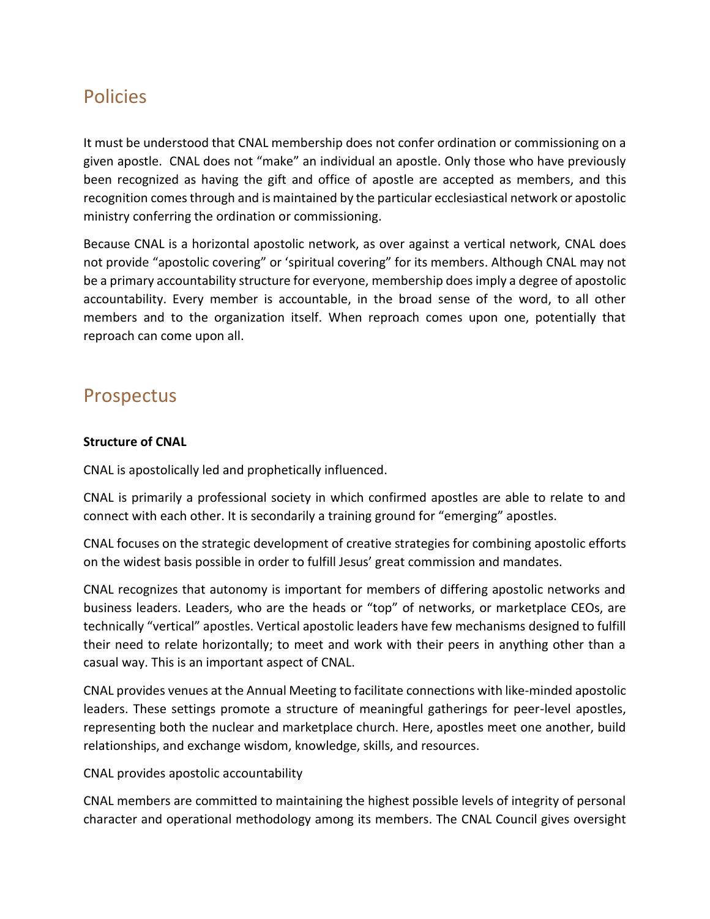# Policies

It must be understood that CNAL membership does not confer ordination or commissioning on a given apostle. CNAL does not "make" an individual an apostle. Only those who have previously been recognized as having the gift and office of apostle are accepted as members, and this recognition comes through and is maintained by the particular ecclesiastical network or apostolic ministry conferring the ordination or commissioning.

Because CNAL is a horizontal apostolic network, as over against a vertical network, CNAL does not provide "apostolic covering" or 'spiritual covering" for its members. Although CNAL may not be a primary accountability structure for everyone, membership does imply a degree of apostolic accountability. Every member is accountable, in the broad sense of the word, to all other members and to the organization itself. When reproach comes upon one, potentially that reproach can come upon all.

## Prospectus

#### **Structure of CNAL**

CNAL is apostolically led and prophetically influenced.

CNAL is primarily a professional society in which confirmed apostles are able to relate to and connect with each other. It is secondarily a training ground for "emerging" apostles.

CNAL focuses on the strategic development of creative strategies for combining apostolic efforts on the widest basis possible in order to fulfill Jesus' great commission and mandates.

CNAL recognizes that autonomy is important for members of differing apostolic networks and business leaders. Leaders, who are the heads or "top" of networks, or marketplace CEOs, are technically "vertical" apostles. Vertical apostolic leaders have few mechanisms designed to fulfill their need to relate horizontally; to meet and work with their peers in anything other than a casual way. This is an important aspect of CNAL.

CNAL provides venues at the Annual Meeting to facilitate connections with like-minded apostolic leaders. These settings promote a structure of meaningful gatherings for peer-level apostles, representing both the nuclear and marketplace church. Here, apostles meet one another, build relationships, and exchange wisdom, knowledge, skills, and resources.

CNAL provides apostolic accountability

CNAL members are committed to maintaining the highest possible levels of integrity of personal character and operational methodology among its members. The CNAL Council gives oversight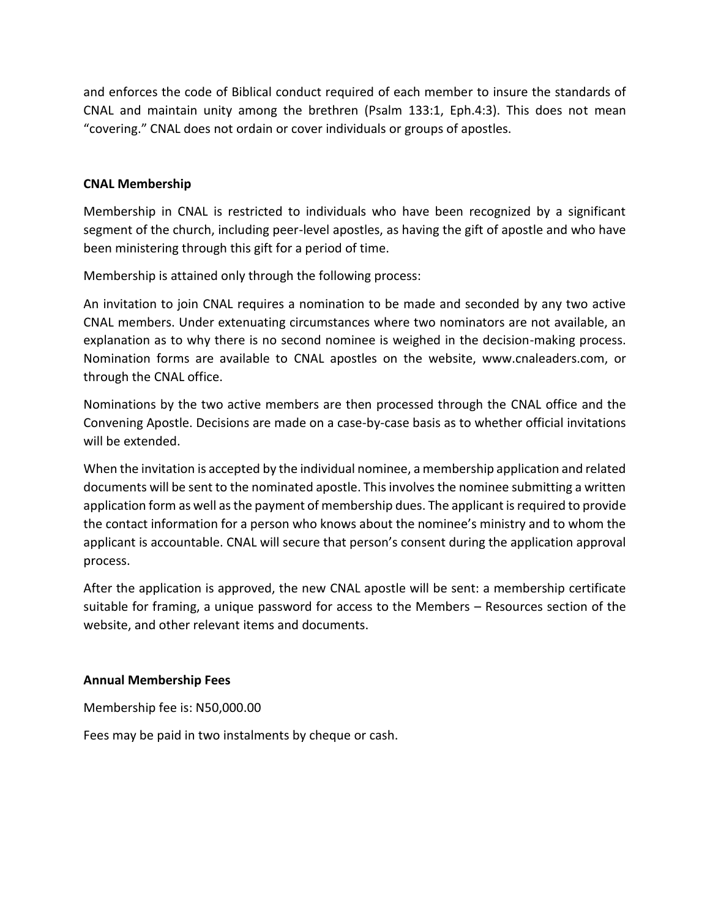and enforces the code of Biblical conduct required of each member to insure the standards of CNAL and maintain unity among the brethren (Psalm 133:1, Eph.4:3). This does not mean "covering." CNAL does not ordain or cover individuals or groups of apostles.

#### **CNAL Membership**

Membership in CNAL is restricted to individuals who have been recognized by a significant segment of the church, including peer-level apostles, as having the gift of apostle and who have been ministering through this gift for a period of time.

Membership is attained only through the following process:

An invitation to join CNAL requires a nomination to be made and seconded by any two active CNAL members. Under extenuating circumstances where two nominators are not available, an explanation as to why there is no second nominee is weighed in the decision-making process. Nomination forms are available to CNAL apostles on the website, www.cnaleaders.com, or through the CNAL office.

Nominations by the two active members are then processed through the CNAL office and the Convening Apostle. Decisions are made on a case-by-case basis as to whether official invitations will be extended.

When the invitation is accepted by the individual nominee, a membership application and related documents will be sent to the nominated apostle. This involves the nominee submitting a written application form as well as the payment of membership dues. The applicant is required to provide the contact information for a person who knows about the nominee's ministry and to whom the applicant is accountable. CNAL will secure that person's consent during the application approval process.

After the application is approved, the new CNAL apostle will be sent: a membership certificate suitable for framing, a unique password for access to the Members – Resources section of the website, and other relevant items and documents.

#### **Annual Membership Fees**

Membership fee is: N50,000.00

Fees may be paid in two instalments by cheque or cash.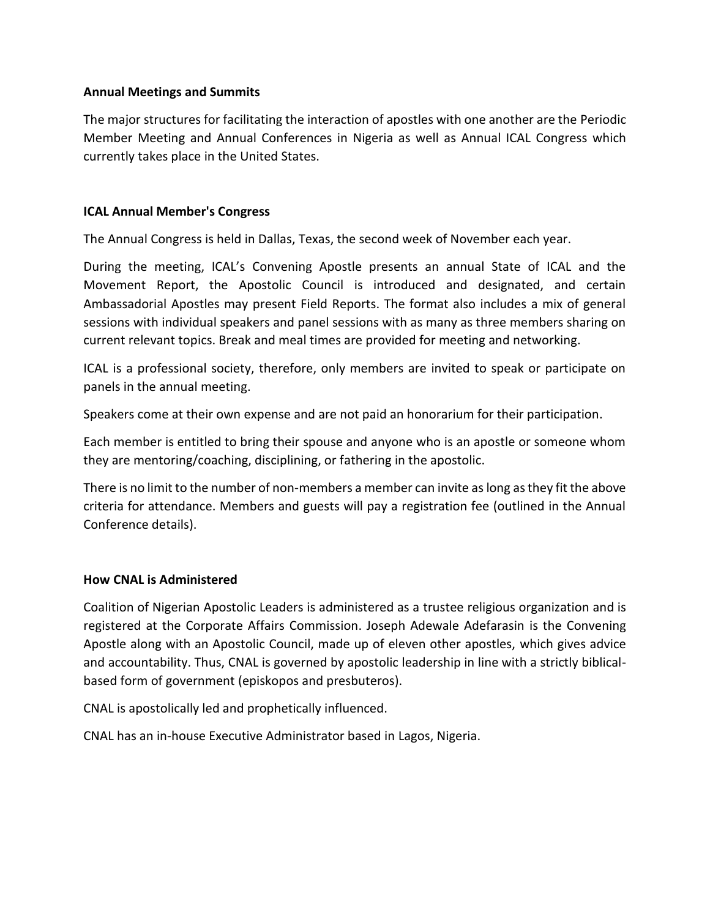#### **Annual Meetings and Summits**

The major structures for facilitating the interaction of apostles with one another are the Periodic Member Meeting and Annual Conferences in Nigeria as well as Annual ICAL Congress which currently takes place in the United States.

#### **ICAL Annual Member's Congress**

The Annual Congress is held in Dallas, Texas, the second week of November each year.

During the meeting, ICAL's Convening Apostle presents an annual State of ICAL and the Movement Report, the Apostolic Council is introduced and designated, and certain Ambassadorial Apostles may present Field Reports. The format also includes a mix of general sessions with individual speakers and panel sessions with as many as three members sharing on current relevant topics. Break and meal times are provided for meeting and networking.

ICAL is a professional society, therefore, only members are invited to speak or participate on panels in the annual meeting.

Speakers come at their own expense and are not paid an honorarium for their participation.

Each member is entitled to bring their spouse and anyone who is an apostle or someone whom they are mentoring/coaching, disciplining, or fathering in the apostolic.

There is no limit to the number of non-members a member can invite as long as they fit the above criteria for attendance. Members and guests will pay a registration fee (outlined in the Annual Conference details).

#### **How CNAL is Administered**

Coalition of Nigerian Apostolic Leaders is administered as a trustee religious organization and is registered at the Corporate Affairs Commission. Joseph Adewale Adefarasin is the Convening Apostle along with an Apostolic Council, made up of eleven other apostles, which gives advice and accountability. Thus, CNAL is governed by apostolic leadership in line with a strictly biblicalbased form of government (episkopos and presbuteros).

CNAL is apostolically led and prophetically influenced.

CNAL has an in-house Executive Administrator based in Lagos, Nigeria.